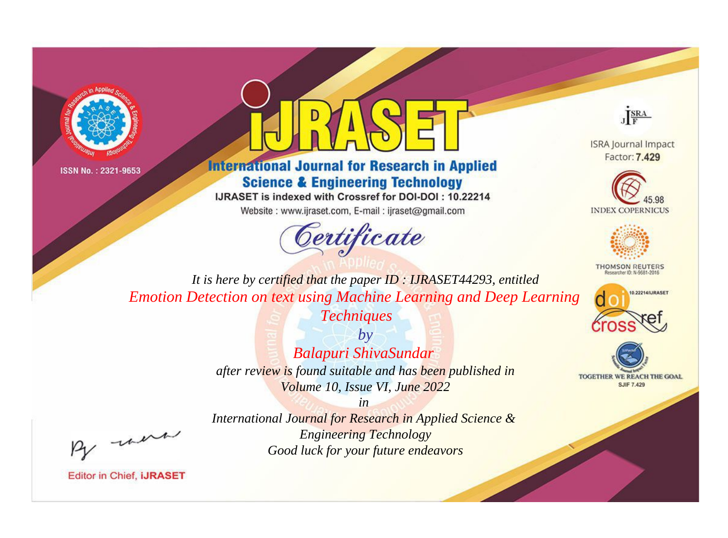



## **International Journal for Research in Applied Science & Engineering Technology**

IJRASET is indexed with Crossref for DOI-DOI: 10.22214

Website: www.ijraset.com, E-mail: ijraset@gmail.com





**ISRA Journal Impact** Factor: 7.429





**THOMSON REUTERS** 



TOGETHER WE REACH THE GOAL **SJIF 7.429** 

*It is here by certified that the paper ID : IJRASET44293, entitled Emotion Detection on text using Machine Learning and Deep Learning* 

> *by Balapuri ShivaSundar after review is found suitable and has been published in Volume 10, Issue VI, June 2022*

*Techniques*

, un

*International Journal for Research in Applied Science & Engineering Technology Good luck for your future endeavors*

*in*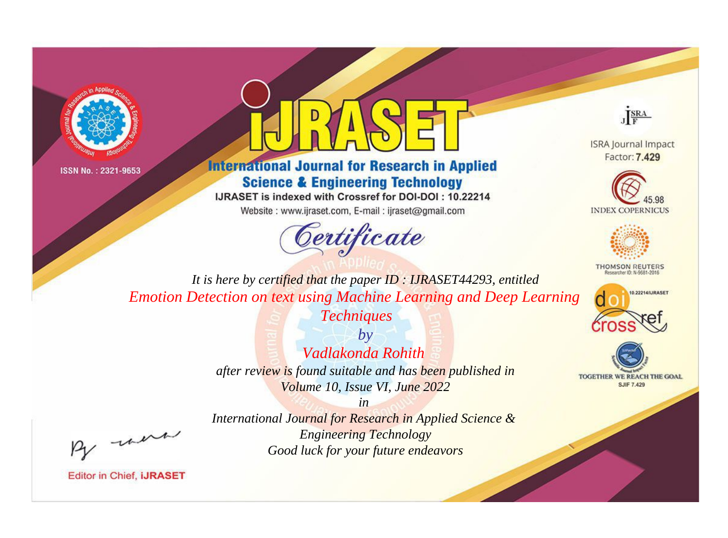



## **International Journal for Research in Applied Science & Engineering Technology**

IJRASET is indexed with Crossref for DOI-DOI: 10.22214

Website: www.ijraset.com, E-mail: ijraset@gmail.com





**ISRA Journal Impact** Factor: 7.429





**THOMSON REUTERS** 



TOGETHER WE REACH THE GOAL **SJIF 7.429** 

*It is here by certified that the paper ID : IJRASET44293, entitled Emotion Detection on text using Machine Learning and Deep Learning* 

> *by Vadlakonda Rohith after review is found suitable and has been published in Volume 10, Issue VI, June 2022*

*Techniques*

, un

*International Journal for Research in Applied Science & Engineering Technology Good luck for your future endeavors*

*in*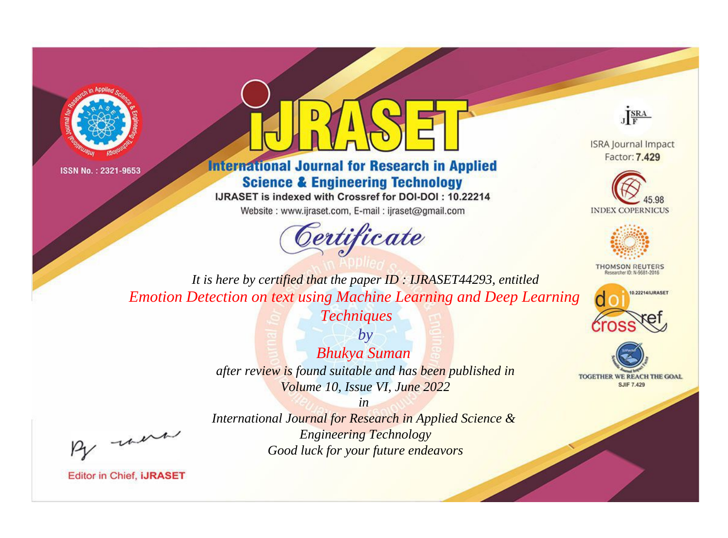



## **International Journal for Research in Applied Science & Engineering Technology**

IJRASET is indexed with Crossref for DOI-DOI: 10.22214

Website: www.ijraset.com, E-mail: ijraset@gmail.com





**ISRA Journal Impact** Factor: 7.429





**THOMSON REUTERS** 



TOGETHER WE REACH THE GOAL **SJIF 7.429** 

*It is here by certified that the paper ID : IJRASET44293, entitled Emotion Detection on text using Machine Learning and Deep Learning* 

*Techniques*

*by Bhukya Suman after review is found suitable and has been published in Volume 10, Issue VI, June 2022*

, un

*International Journal for Research in Applied Science & Engineering Technology Good luck for your future endeavors*

*in*